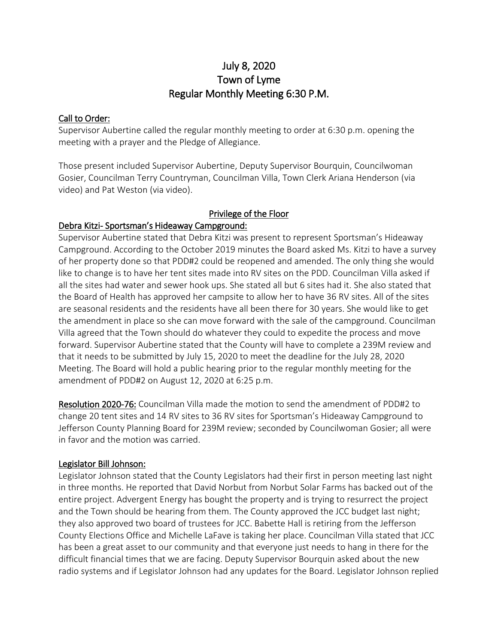# July 8, 2020 Town of Lyme Regular Monthly Meeting 6:30 P.M.

#### Call to Order:

Supervisor Aubertine called the regular monthly meeting to order at 6:30 p.m. opening the meeting with a prayer and the Pledge of Allegiance.

Those present included Supervisor Aubertine, Deputy Supervisor Bourquin, Councilwoman Gosier, Councilman Terry Countryman, Councilman Villa, Town Clerk Ariana Henderson (via video) and Pat Weston (via video).

### Privilege of the Floor

### Debra Kitzi- Sportsman's Hideaway Campground:

Supervisor Aubertine stated that Debra Kitzi was present to represent Sportsman's Hideaway Campground. According to the October 2019 minutes the Board asked Ms. Kitzi to have a survey of her property done so that PDD#2 could be reopened and amended. The only thing she would like to change is to have her tent sites made into RV sites on the PDD. Councilman Villa asked if all the sites had water and sewer hook ups. She stated all but 6 sites had it. She also stated that the Board of Health has approved her campsite to allow her to have 36 RV sites. All of the sites are seasonal residents and the residents have all been there for 30 years. She would like to get the amendment in place so she can move forward with the sale of the campground. Councilman Villa agreed that the Town should do whatever they could to expedite the process and move forward. Supervisor Aubertine stated that the County will have to complete a 239M review and that it needs to be submitted by July 15, 2020 to meet the deadline for the July 28, 2020 Meeting. The Board will hold a public hearing prior to the regular monthly meeting for the amendment of PDD#2 on August 12, 2020 at 6:25 p.m.

Resolution 2020-76: Councilman Villa made the motion to send the amendment of PDD#2 to change 20 tent sites and 14 RV sites to 36 RV sites for Sportsman's Hideaway Campground to Jefferson County Planning Board for 239M review; seconded by Councilwoman Gosier; all were in favor and the motion was carried.

### Legislator Bill Johnson:

Legislator Johnson stated that the County Legislators had their first in person meeting last night in three months. He reported that David Norbut from Norbut Solar Farms has backed out of the entire project. Advergent Energy has bought the property and is trying to resurrect the project and the Town should be hearing from them. The County approved the JCC budget last night; they also approved two board of trustees for JCC. Babette Hall is retiring from the Jefferson County Elections Office and Michelle LaFave is taking her place. Councilman Villa stated that JCC has been a great asset to our community and that everyone just needs to hang in there for the difficult financial times that we are facing. Deputy Supervisor Bourquin asked about the new radio systems and if Legislator Johnson had any updates for the Board. Legislator Johnson replied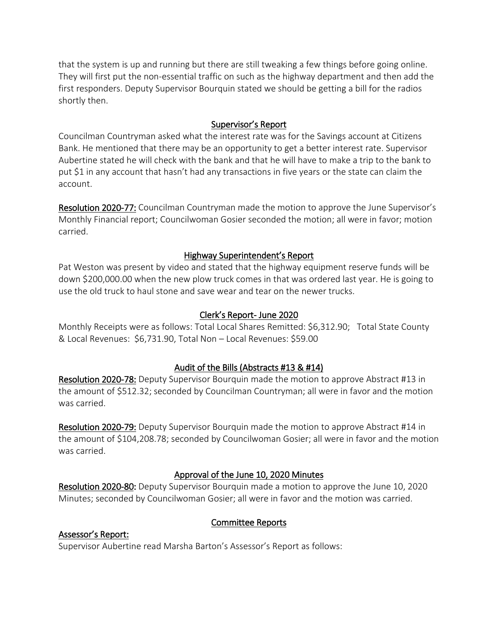that the system is up and running but there are still tweaking a few things before going online. They will first put the non-essential traffic on such as the highway department and then add the first responders. Deputy Supervisor Bourquin stated we should be getting a bill for the radios shortly then.

### Supervisor's Report

Councilman Countryman asked what the interest rate was for the Savings account at Citizens Bank. He mentioned that there may be an opportunity to get a better interest rate. Supervisor Aubertine stated he will check with the bank and that he will have to make a trip to the bank to put \$1 in any account that hasn't had any transactions in five years or the state can claim the account.

Resolution 2020-77: Councilman Countryman made the motion to approve the June Supervisor's Monthly Financial report; Councilwoman Gosier seconded the motion; all were in favor; motion carried.

## Highway Superintendent's Report

Pat Weston was present by video and stated that the highway equipment reserve funds will be down \$200,000.00 when the new plow truck comes in that was ordered last year. He is going to use the old truck to haul stone and save wear and tear on the newer trucks.

## Clerk's Report- June 2020

Monthly Receipts were as follows: Total Local Shares Remitted: \$6,312.90; Total State County & Local Revenues: \$6,731.90, Total Non – Local Revenues: \$59.00

## Audit of the Bills (Abstracts #13 & #14)

Resolution 2020-78: Deputy Supervisor Bourquin made the motion to approve Abstract #13 in the amount of \$512.32; seconded by Councilman Countryman; all were in favor and the motion was carried.

Resolution 2020-79: Deputy Supervisor Bourquin made the motion to approve Abstract #14 in the amount of \$104,208.78; seconded by Councilwoman Gosier; all were in favor and the motion was carried.

## Approval of the June 10, 2020 Minutes

Resolution 2020-80: Deputy Supervisor Bourquin made a motion to approve the June 10, 2020 Minutes; seconded by Councilwoman Gosier; all were in favor and the motion was carried.

## Committee Reports

### Assessor's Report:

Supervisor Aubertine read Marsha Barton's Assessor's Report as follows: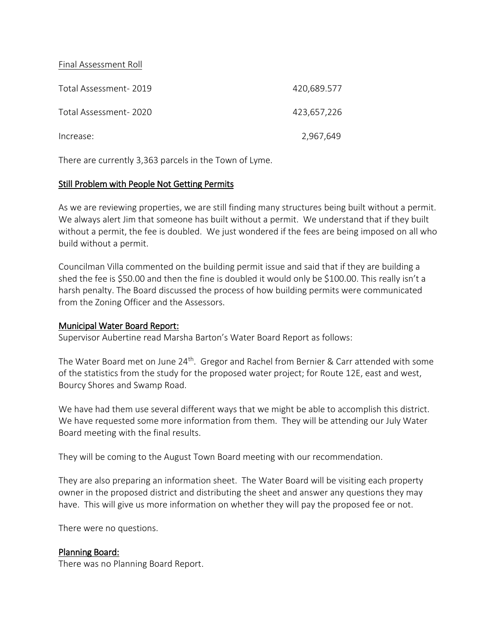#### Final Assessment Roll

| Total Assessment-2019 | 420,689.577 |
|-----------------------|-------------|
| Total Assessment-2020 | 423,657,226 |
| Increase:             | 2,967,649   |

There are currently 3,363 parcels in the Town of Lyme.

#### Still Problem with People Not Getting Permits

As we are reviewing properties, we are still finding many structures being built without a permit. We always alert Jim that someone has built without a permit. We understand that if they built without a permit, the fee is doubled. We just wondered if the fees are being imposed on all who build without a permit.

Councilman Villa commented on the building permit issue and said that if they are building a shed the fee is \$50.00 and then the fine is doubled it would only be \$100.00. This really isn't a harsh penalty. The Board discussed the process of how building permits were communicated from the Zoning Officer and the Assessors.

#### Municipal Water Board Report:

Supervisor Aubertine read Marsha Barton's Water Board Report as follows:

The Water Board met on June  $24<sup>th</sup>$ . Gregor and Rachel from Bernier & Carr attended with some of the statistics from the study for the proposed water project; for Route 12E, east and west, Bourcy Shores and Swamp Road.

We have had them use several different ways that we might be able to accomplish this district. We have requested some more information from them. They will be attending our July Water Board meeting with the final results.

They will be coming to the August Town Board meeting with our recommendation.

They are also preparing an information sheet. The Water Board will be visiting each property owner in the proposed district and distributing the sheet and answer any questions they may have. This will give us more information on whether they will pay the proposed fee or not.

There were no questions.

### Planning Board:

There was no Planning Board Report.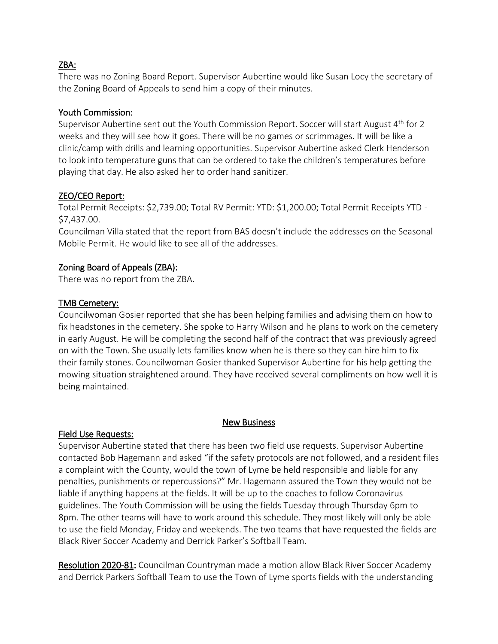#### ZBA:

There was no Zoning Board Report. Supervisor Aubertine would like Susan Locy the secretary of the Zoning Board of Appeals to send him a copy of their minutes.

### Youth Commission:

Supervisor Aubertine sent out the Youth Commission Report. Soccer will start August  $4<sup>th</sup>$  for 2 weeks and they will see how it goes. There will be no games or scrimmages. It will be like a clinic/camp with drills and learning opportunities. Supervisor Aubertine asked Clerk Henderson to look into temperature guns that can be ordered to take the children's temperatures before playing that day. He also asked her to order hand sanitizer.

## ZEO/CEO Report:

Total Permit Receipts: \$2,739.00; Total RV Permit: YTD: \$1,200.00; Total Permit Receipts YTD - \$7,437.00.

Councilman Villa stated that the report from BAS doesn't include the addresses on the Seasonal Mobile Permit. He would like to see all of the addresses.

## Zoning Board of Appeals (ZBA):

There was no report from the ZBA.

### TMB Cemetery:

Councilwoman Gosier reported that she has been helping families and advising them on how to fix headstones in the cemetery. She spoke to Harry Wilson and he plans to work on the cemetery in early August. He will be completing the second half of the contract that was previously agreed on with the Town. She usually lets families know when he is there so they can hire him to fix their family stones. Councilwoman Gosier thanked Supervisor Aubertine for his help getting the mowing situation straightened around. They have received several compliments on how well it is being maintained.

### New Business

### Field Use Requests:

Supervisor Aubertine stated that there has been two field use requests. Supervisor Aubertine contacted Bob Hagemann and asked "if the safety protocols are not followed, and a resident files a complaint with the County, would the town of Lyme be held responsible and liable for any penalties, punishments or repercussions?" Mr. Hagemann assured the Town they would not be liable if anything happens at the fields. It will be up to the coaches to follow Coronavirus guidelines. The Youth Commission will be using the fields Tuesday through Thursday 6pm to 8pm. The other teams will have to work around this schedule. They most likely will only be able to use the field Monday, Friday and weekends. The two teams that have requested the fields are Black River Soccer Academy and Derrick Parker's Softball Team.

Resolution 2020-81: Councilman Countryman made a motion allow Black River Soccer Academy and Derrick Parkers Softball Team to use the Town of Lyme sports fields with the understanding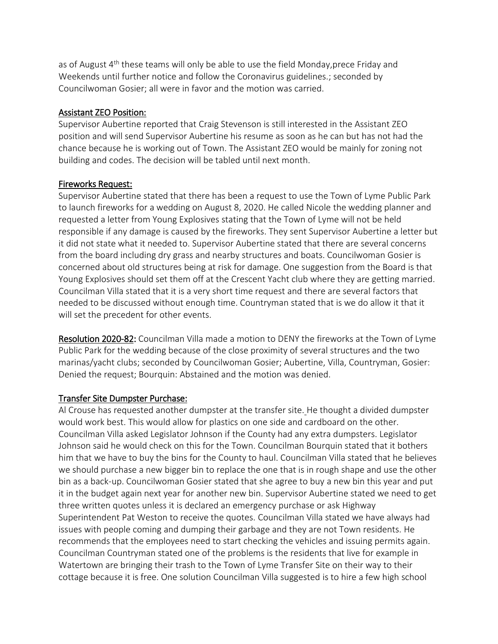as of August  $4<sup>th</sup>$  these teams will only be able to use the field Monday, prece Friday and Weekends until further notice and follow the Coronavirus guidelines.; seconded by Councilwoman Gosier; all were in favor and the motion was carried.

#### Assistant ZEO Position:

Supervisor Aubertine reported that Craig Stevenson is still interested in the Assistant ZEO position and will send Supervisor Aubertine his resume as soon as he can but has not had the chance because he is working out of Town. The Assistant ZEO would be mainly for zoning not building and codes. The decision will be tabled until next month.

#### Fireworks Request:

Supervisor Aubertine stated that there has been a request to use the Town of Lyme Public Park to launch fireworks for a wedding on August 8, 2020. He called Nicole the wedding planner and requested a letter from Young Explosives stating that the Town of Lyme will not be held responsible if any damage is caused by the fireworks. They sent Supervisor Aubertine a letter but it did not state what it needed to. Supervisor Aubertine stated that there are several concerns from the board including dry grass and nearby structures and boats. Councilwoman Gosier is concerned about old structures being at risk for damage. One suggestion from the Board is that Young Explosives should set them off at the Crescent Yacht club where they are getting married. Councilman Villa stated that it is a very short time request and there are several factors that needed to be discussed without enough time. Countryman stated that is we do allow it that it will set the precedent for other events.

Resolution 2020-82: Councilman Villa made a motion to DENY the fireworks at the Town of Lyme Public Park for the wedding because of the close proximity of several structures and the two marinas/yacht clubs; seconded by Councilwoman Gosier; Aubertine, Villa, Countryman, Gosier: Denied the request; Bourquin: Abstained and the motion was denied.

### Transfer Site Dumpster Purchase:

Al Crouse has requested another dumpster at the transfer site. He thought a divided dumpster would work best. This would allow for plastics on one side and cardboard on the other. Councilman Villa asked Legislator Johnson if the County had any extra dumpsters. Legislator Johnson said he would check on this for the Town. Councilman Bourquin stated that it bothers him that we have to buy the bins for the County to haul. Councilman Villa stated that he believes we should purchase a new bigger bin to replace the one that is in rough shape and use the other bin as a back-up. Councilwoman Gosier stated that she agree to buy a new bin this year and put it in the budget again next year for another new bin. Supervisor Aubertine stated we need to get three written quotes unless it is declared an emergency purchase or ask Highway Superintendent Pat Weston to receive the quotes. Councilman Villa stated we have always had issues with people coming and dumping their garbage and they are not Town residents. He recommends that the employees need to start checking the vehicles and issuing permits again. Councilman Countryman stated one of the problems is the residents that live for example in Watertown are bringing their trash to the Town of Lyme Transfer Site on their way to their cottage because it is free. One solution Councilman Villa suggested is to hire a few high school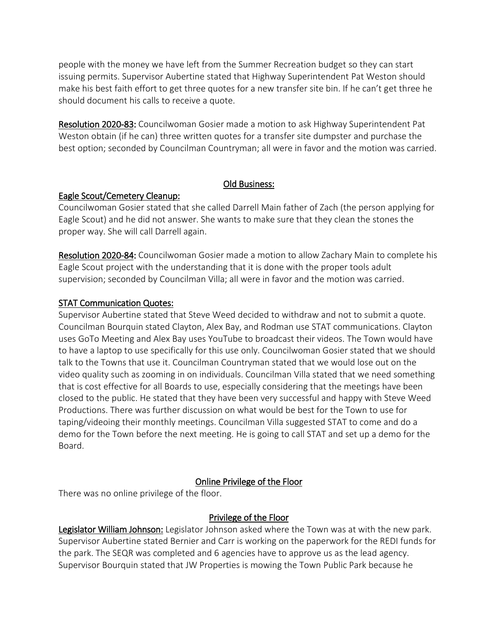people with the money we have left from the Summer Recreation budget so they can start issuing permits. Supervisor Aubertine stated that Highway Superintendent Pat Weston should make his best faith effort to get three quotes for a new transfer site bin. If he can't get three he should document his calls to receive a quote.

Resolution 2020-83: Councilwoman Gosier made a motion to ask Highway Superintendent Pat Weston obtain (if he can) three written quotes for a transfer site dumpster and purchase the best option; seconded by Councilman Countryman; all were in favor and the motion was carried.

### Old Business:

## Eagle Scout/Cemetery Cleanup:

Councilwoman Gosier stated that she called Darrell Main father of Zach (the person applying for Eagle Scout) and he did not answer. She wants to make sure that they clean the stones the proper way. She will call Darrell again.

Resolution 2020-84: Councilwoman Gosier made a motion to allow Zachary Main to complete his Eagle Scout project with the understanding that it is done with the proper tools adult supervision; seconded by Councilman Villa; all were in favor and the motion was carried.

## STAT Communication Quotes:

Supervisor Aubertine stated that Steve Weed decided to withdraw and not to submit a quote. Councilman Bourquin stated Clayton, Alex Bay, and Rodman use STAT communications. Clayton uses GoTo Meeting and Alex Bay uses YouTube to broadcast their videos. The Town would have to have a laptop to use specifically for this use only. Councilwoman Gosier stated that we should talk to the Towns that use it. Councilman Countryman stated that we would lose out on the video quality such as zooming in on individuals. Councilman Villa stated that we need something that is cost effective for all Boards to use, especially considering that the meetings have been closed to the public. He stated that they have been very successful and happy with Steve Weed Productions. There was further discussion on what would be best for the Town to use for taping/videoing their monthly meetings. Councilman Villa suggested STAT to come and do a demo for the Town before the next meeting. He is going to call STAT and set up a demo for the Board.

## Online Privilege of the Floor

There was no online privilege of the floor.

## Privilege of the Floor

Legislator William Johnson: Legislator Johnson asked where the Town was at with the new park. Supervisor Aubertine stated Bernier and Carr is working on the paperwork for the REDI funds for the park. The SEQR was completed and 6 agencies have to approve us as the lead agency. Supervisor Bourquin stated that JW Properties is mowing the Town Public Park because he